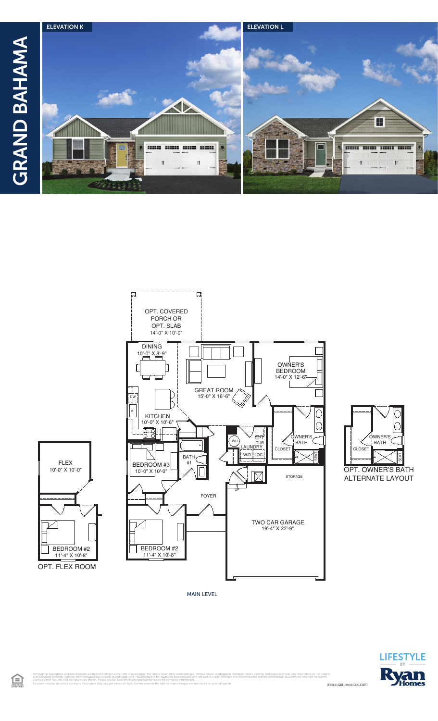

 $\qquad \qquad - - -$ 





H

**BOOK BOOK BOOK** 





RY0821GBH00v01CRSLCRFT Although all illustrations and specifications are believed correct at the time of publication, the right is reserved to make changes, without notice or obligation. Windows, doors, ceilings, and room sizes may vary dependin

MAIN LEVEL